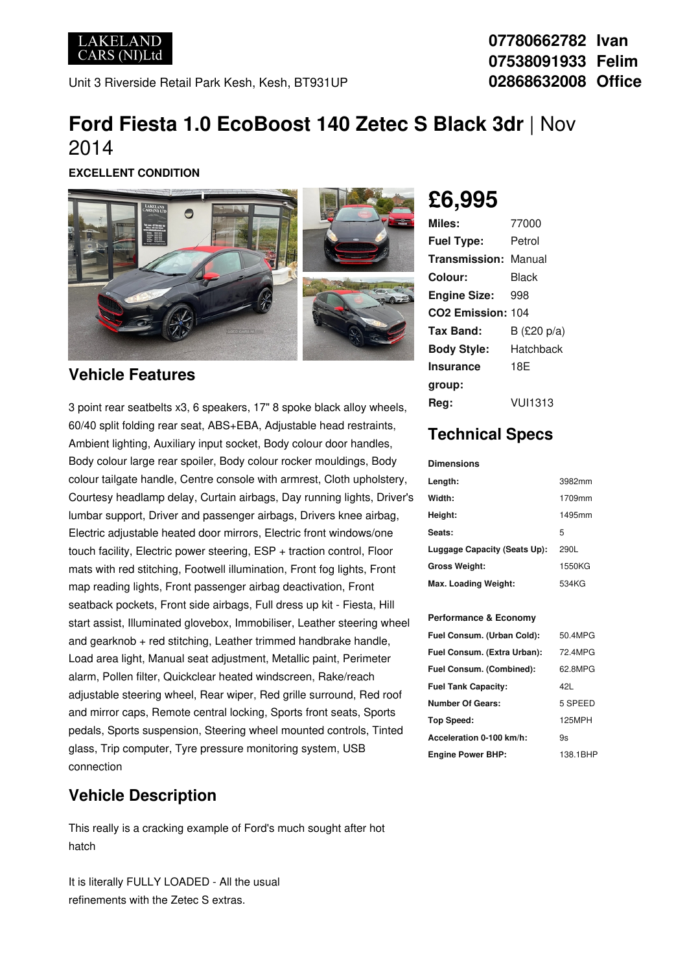

Unit 3 Riverside Retail Park Kesh, Kesh, BT931UP

## **Ford Fiesta 1.0 EcoBoost 140 Zetec S Black 3dr** |Nov 2014

**EXCELLENT CONDITION**



### **Vehicle Features**

3 point rear seatbelts x3, 6 speakers, 17" 8 spoke black alloy wheels, 60/40 split folding rear seat, ABS+EBA, Adjustable head restraints, Ambient lighting, Auxiliary input socket, Body colour door handles, Body colour large rear spoiler, Body colour rocker mouldings, Body colour tailgate handle, Centre console with armrest, Cloth upholstery, Courtesy headlamp delay, Curtain airbags, Day running lights, Driver's lumbar support, Driver and passenger airbags, Drivers knee airbag, Electric adjustable heated door mirrors, Electric front windows/one touch facility, Electric power steering, ESP + traction control, Floor mats with red stitching, Footwell illumination, Front fog lights, Front map reading lights, Front passenger airbag deactivation, Front seatback pockets, Front side airbags, Full dress up kit - Fiesta, Hill start assist, Illuminated glovebox, Immobiliser, Leather steering wheel and gearknob + red stitching, Leather trimmed handbrake handle, Load area light, Manual seat adjustment, Metallic paint, Perimeter alarm, Pollen filter, Quickclear heated windscreen, Rake/reach adjustable steering wheel, Rear wiper, Red grille surround, Red roof and mirror caps, Remote central locking, Sports front seats, Sports pedals, Sports suspension, Steering wheel mounted controls, Tinted glass, Trip computer, Tyre pressure monitoring system, USB connection

### **Vehicle Description**

This really is a cracking example of Ford's much sought after hot hatch

It is literally FULLY LOADED - All the usual refinements with the Zetec S extras.

# **£6,995**

| Miles:                        | 77000                              |
|-------------------------------|------------------------------------|
| <b>Fuel Type:</b>             | Petrol                             |
| <b>Transmission: Manual</b>   |                                    |
| Colour:                       | Black                              |
| <b>Engine Size:</b>           | 998                                |
| CO <sub>2</sub> Emission: 104 |                                    |
| Tax Band:                     | B $(\text{\pounds}20 \text{ p/a})$ |
| <b>Body Style:</b>            | Hatchback                          |
| Insurance                     | 18F                                |
| group:                        |                                    |
| Rea:                          | <b>VUI1313</b>                     |

## **Technical Specs**

**Dimensions**

| Length:                      | 3982mm |
|------------------------------|--------|
| Width:                       | 1709mm |
| Height:                      | 1495mm |
| Seats:                       | 5      |
| Luggage Capacity (Seats Up): | 290L   |
| <b>Gross Weight:</b>         | 1550KG |
| Max. Loading Weight:         | 534KG  |

#### **Performance & Economy**

| Fuel Consum. (Urban Cold):  | 50 4MPG  |
|-----------------------------|----------|
| Fuel Consum. (Extra Urban): | 72.4MPG  |
| Fuel Consum. (Combined):    | 62.8MPG  |
| <b>Fuel Tank Capacity:</b>  | 421      |
| <b>Number Of Gears:</b>     | 5 SPEED  |
| Top Speed:                  | 125MPH   |
| Acceleration 0-100 km/h:    | 9s       |
| <b>Engine Power BHP:</b>    | 138.1BHP |

**07780662782 Ivan 07538091933 Felim 02868632008 Office**